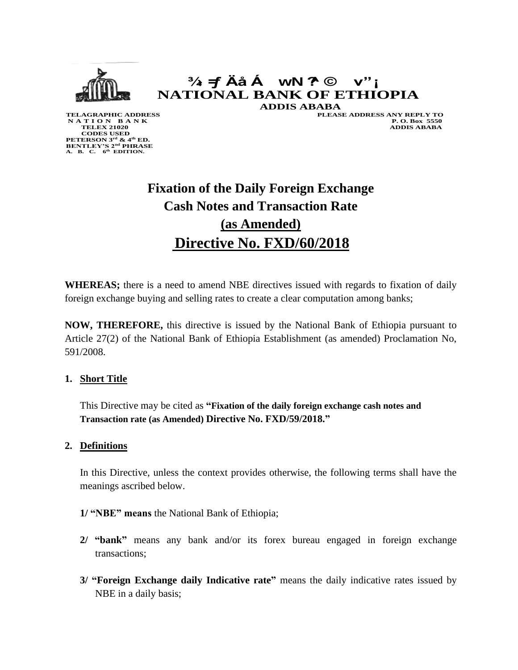

# **¾› =ƒ Äå Á wN ?^ © v"¡ NATIONAL BANK OF ETHIOPIA ADDIS ABABA**

 **CODES USED PETERSON 3rd & 4th ED. BENTLEY'S 2nd PHRASE A. B. C. 6 th EDITION.**

**TELAGRAPHIC ADDRESS**<br>
N A T I O N B A N K P.O. Box 5550 **N A T I O N B A N K P. O. Box 5550 TELEX 21020 ADDIS ABABA**

# **Fixation of the Daily Foreign Exchange Cash Notes and Transaction Rate (as Amended) Directive No. FXD/60/2018**

**WHEREAS;** there is a need to amend NBE directives issued with regards to fixation of daily foreign exchange buying and selling rates to create a clear computation among banks;

**NOW, THEREFORE,** this directive is issued by the National Bank of Ethiopia pursuant to Article 27(2) of the National Bank of Ethiopia Establishment (as amended) Proclamation No, 591/2008.

#### **1. Short Title**

This Directive may be cited as **"Fixation of the daily foreign exchange cash notes and Transaction rate (as Amended) Directive No. FXD/59/2018."**

#### **2. Definitions**

In this Directive, unless the context provides otherwise, the following terms shall have the meanings ascribed below.

#### **1/ "NBE" means** the National Bank of Ethiopia;

- **2/ "bank"** means any bank and/or its forex bureau engaged in foreign exchange transactions;
- **3/ "Foreign Exchange daily Indicative rate"** means the daily indicative rates issued by NBE in a daily basis;